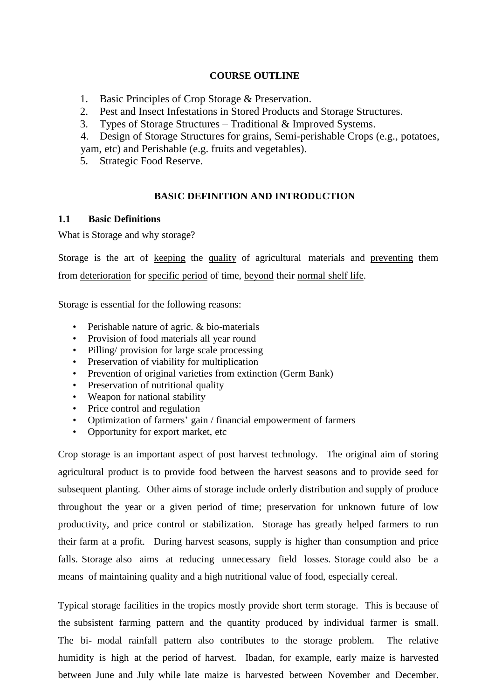# **COURSE OUTLINE**

- 1. Basic Principles of Crop Storage & Preservation.
- 2. Pest and Insect Infestations in Stored Products and Storage Structures.
- 3. Types of Storage Structures Traditional & Improved Systems.

4. Design of Storage Structures for grains, Semi-perishable Crops (e.g., potatoes, yam, etc) and Perishable (e.g. fruits and vegetables).

5. Strategic Food Reserve.

# **BASIC DEFINITION AND INTRODUCTION**

### **1.1 Basic Definitions**

What is Storage and why storage?

Storage is the art of keeping the quality of agricultural materials and preventing them from deterioration for specific period of time, beyond their normal shelf life.

Storage is essential for the following reasons:

- Perishable nature of agric. & bio-materials
- Provision of food materials all year round
- Pilling/ provision for large scale processing
- Preservation of viability for multiplication
- Prevention of original varieties from extinction (Germ Bank)
- Preservation of nutritional quality
- Weapon for national stability
- Price control and regulation
- Optimization of farmers' gain / financial empowerment of farmers
- Opportunity for export market, etc

Crop storage is an important aspect of post harvest technology. The original aim of storing agricultural product is to provide food between the harvest seasons and to provide seed for subsequent planting. Other aims of storage include orderly distribution and supply of produce throughout the year or a given period of time; preservation for unknown future of low productivity, and price control or stabilization. Storage has greatly helped farmers to run their farm at a profit. During harvest seasons, supply is higher than consumption and price falls. Storage also aims at reducing unnecessary field losses. Storage could also be a means of maintaining quality and a high nutritional value of food, especially cereal.

Typical storage facilities in the tropics mostly provide short term storage. This is because of the subsistent farming pattern and the quantity produced by individual farmer is small. The bi- modal rainfall pattern also contributes to the storage problem. The relative humidity is high at the period of harvest. Ibadan, for example, early maize is harvested between June and July while late maize is harvested between November and December.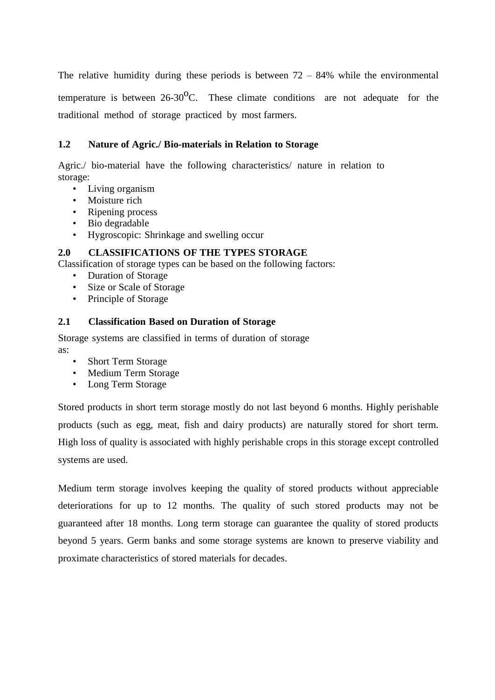The relative humidity during these periods is between  $72 - 84\%$  while the environmental temperature is between  $26\text{-}30\text{°C}$ . These climate conditions are not adequate for the traditional method of storage practiced by most farmers.

# **1.2 Nature of Agric./ Bio-materials in Relation to Storage**

Agric./ bio-material have the following characteristics/ nature in relation to storage:

- Living organism
- Moisture rich
- Ripening process
- Bio degradable
- Hygroscopic: Shrinkage and swelling occur

# **2.0 CLASSIFICATIONS OF THE TYPES STORAGE**

Classification of storage types can be based on the following factors:

- Duration of Storage
- Size or Scale of Storage
- Principle of Storage

### **2.1 Classification Based on Duration of Storage**

Storage systems are classified in terms of duration of storage as:

- Short Term Storage
- Medium Term Storage
- Long Term Storage

Stored products in short term storage mostly do not last beyond 6 months. Highly perishable products (such as egg, meat, fish and dairy products) are naturally stored for short term. High loss of quality is associated with highly perishable crops in this storage except controlled systems are used.

Medium term storage involves keeping the quality of stored products without appreciable deteriorations for up to 12 months. The quality of such stored products may not be guaranteed after 18 months. Long term storage can guarantee the quality of stored products beyond 5 years. Germ banks and some storage systems are known to preserve viability and proximate characteristics of stored materials for decades.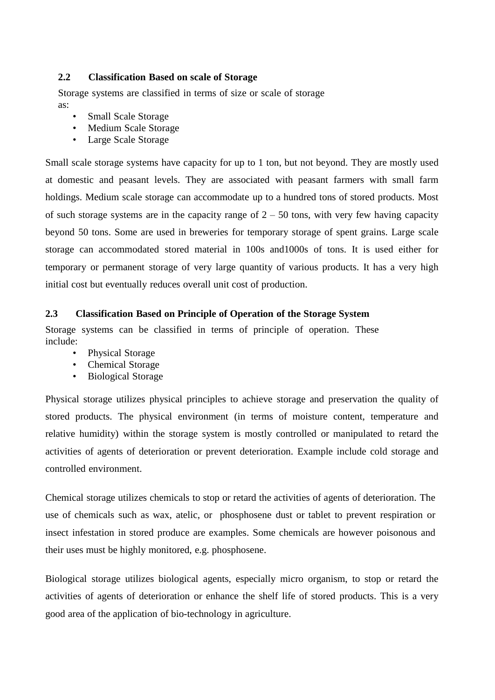### **2.2 Classification Based on scale of Storage**

Storage systems are classified in terms of size or scale of storage as:

- Small Scale Storage
- Medium Scale Storage
- Large Scale Storage

Small scale storage systems have capacity for up to 1 ton, but not beyond. They are mostly used at domestic and peasant levels. They are associated with peasant farmers with small farm holdings. Medium scale storage can accommodate up to a hundred tons of stored products. Most of such storage systems are in the capacity range of  $2 - 50$  tons, with very few having capacity beyond 50 tons. Some are used in breweries for temporary storage of spent grains. Large scale storage can accommodated stored material in 100s and1000s of tons. It is used either for temporary or permanent storage of very large quantity of various products. It has a very high initial cost but eventually reduces overall unit cost of production.

### **2.3 Classification Based on Principle of Operation of the Storage System**

Storage systems can be classified in terms of principle of operation. These include:

- Physical Storage
- Chemical Storage
- Biological Storage

Physical storage utilizes physical principles to achieve storage and preservation the quality of stored products. The physical environment (in terms of moisture content, temperature and relative humidity) within the storage system is mostly controlled or manipulated to retard the activities of agents of deterioration or prevent deterioration. Example include cold storage and controlled environment.

Chemical storage utilizes chemicals to stop or retard the activities of agents of deterioration. The use of chemicals such as wax, atelic, or phosphosene dust or tablet to prevent respiration or insect infestation in stored produce are examples. Some chemicals are however poisonous and their uses must be highly monitored, e.g. phosphosene.

Biological storage utilizes biological agents, especially micro organism, to stop or retard the activities of agents of deterioration or enhance the shelf life of stored products. This is a very good area of the application of bio-technology in agriculture.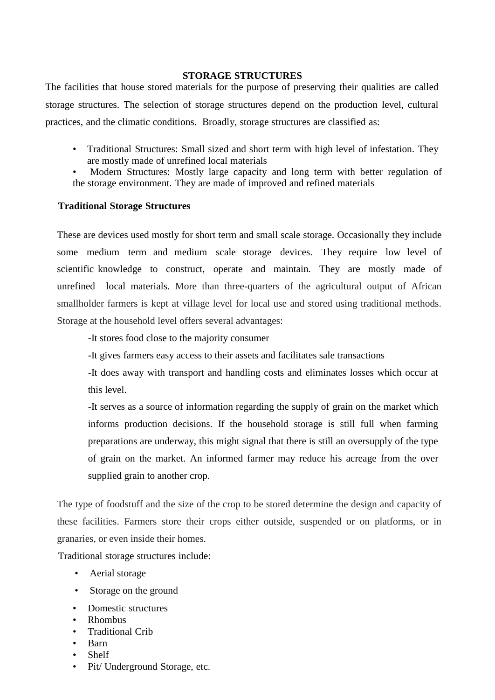### **STORAGE STRUCTURES**

The facilities that house stored materials for the purpose of preserving their qualities are called storage structures. The selection of storage structures depend on the production level, cultural practices, and the climatic conditions. Broadly, storage structures are classified as:

• Traditional Structures: Small sized and short term with high level of infestation. They are mostly made of unrefined local materials

• Modern Structures: Mostly large capacity and long term with better regulation of the storage environment. They are made of improved and refined materials

### **Traditional Storage Structures**

These are devices used mostly for short term and small scale storage. Occasionally they include some medium term and medium scale storage devices. They require low level of scientific knowledge to construct, operate and maintain. They are mostly made of unrefined local materials. More than three-quarters of the agricultural output of African smallholder farmers is kept at village level for local use and stored using traditional methods. Storage at the household level offers several advantages:

-It stores food close to the majority consumer

-It gives farmers easy access to their assets and facilitates sale transactions

-It does away with transport and handling costs and eliminates losses which occur at this level.

-It serves as a source of information regarding the supply of grain on the market which informs production decisions. If the household storage is still full when farming preparations are underway, this might signal that there is still an oversupply of the type of grain on the market. An informed farmer may reduce his acreage from the over supplied grain to another crop.

The type of foodstuff and the size of the crop to be stored determine the design and capacity of these facilities. Farmers store their crops either outside, suspended or on platforms, or in granaries, or even inside their homes.

Traditional storage structures include:

- Aerial storage
- Storage on the ground
- Domestic structures
- Rhombus
- Traditional Crib
- Barn
- Shelf
- Pit/ Underground Storage, etc.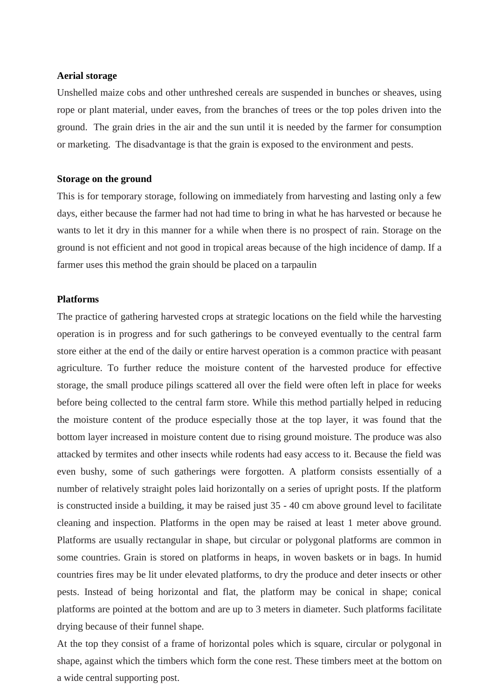#### **Aerial storage**

Unshelled maize cobs and other unthreshed cereals are suspended in bunches or sheaves, using rope or plant material, under eaves, from the branches of trees or the top poles driven into the ground. The grain dries in the air and the sun until it is needed by the farmer for consumption or marketing. The disadvantage is that the grain is exposed to the environment and pests.

#### **Storage on the ground**

This is for temporary storage, following on immediately from harvesting and lasting only a few days, either because the farmer had not had time to bring in what he has harvested or because he wants to let it dry in this manner for a while when there is no prospect of rain. Storage on the ground is not efficient and not good in tropical areas because of the high incidence of damp. If a farmer uses this method the grain should be placed on a tarpaulin

#### **Platforms**

The practice of gathering harvested crops at strategic locations on the field while the harvesting operation is in progress and for such gatherings to be conveyed eventually to the central farm store either at the end of the daily or entire harvest operation is a common practice with peasant agriculture. To further reduce the moisture content of the harvested produce for effective storage, the small produce pilings scattered all over the field were often left in place for weeks before being collected to the central farm store. While this method partially helped in reducing the moisture content of the produce especially those at the top layer, it was found that the bottom layer increased in moisture content due to rising ground moisture. The produce was also attacked by termites and other insects while rodents had easy access to it. Because the field was even bushy, some of such gatherings were forgotten. A platform consists essentially of a number of relatively straight poles laid horizontally on a series of upright posts. If the platform is constructed inside a building, it may be raised just 35 - 40 cm above ground level to facilitate cleaning and inspection. Platforms in the open may be raised at least 1 meter above ground. Platforms are usually rectangular in shape, but circular or polygonal platforms are common in some countries. Grain is stored on platforms in heaps, in woven baskets or in bags. In humid countries fires may be lit under elevated platforms, to dry the produce and deter insects or other pests. Instead of being horizontal and flat, the platform may be conical in shape; conical platforms are pointed at the bottom and are up to 3 meters in diameter. Such platforms facilitate drying because of their funnel shape.

At the top they consist of a frame of horizontal poles which is square, circular or polygonal in shape, against which the timbers which form the cone rest. These timbers meet at the bottom on a wide central supporting post.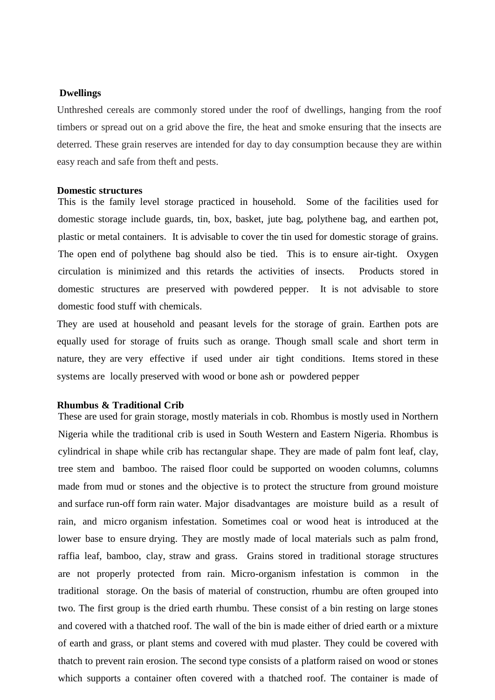#### **Dwellings**

Unthreshed cereals are commonly stored under the roof of dwellings, hanging from the roof timbers or spread out on a grid above the fire, the heat and smoke ensuring that the insects are deterred. These grain reserves are intended for day to day consumption because they are within easy reach and safe from theft and pests.

#### **Domestic structures**

This is the family level storage practiced in household. Some of the facilities used for domestic storage include guards, tin, box, basket, jute bag, polythene bag, and earthen pot, plastic or metal containers. It is advisable to cover the tin used for domestic storage of grains. The open end of polythene bag should also be tied. This is to ensure air-tight. Oxygen circulation is minimized and this retards the activities of insects. Products stored in domestic structures are preserved with powdered pepper. It is not advisable to store domestic food stuff with chemicals.

They are used at household and peasant levels for the storage of grain. Earthen pots are equally used for storage of fruits such as orange. Though small scale and short term in nature, they are very effective if used under air tight conditions. Items stored in these systems are locally preserved with wood or bone ash or powdered pepper

#### **Rhumbus & Traditional Crib**

These are used for grain storage, mostly materials in cob. Rhombus is mostly used in Northern Nigeria while the traditional crib is used in South Western and Eastern Nigeria. Rhombus is cylindrical in shape while crib has rectangular shape. They are made of palm font leaf, clay, tree stem and bamboo. The raised floor could be supported on wooden columns, columns made from mud or stones and the objective is to protect the structure from ground moisture and surface run-off form rain water. Major disadvantages are moisture build as a result of rain, and micro organism infestation. Sometimes coal or wood heat is introduced at the lower base to ensure drying. They are mostly made of local materials such as palm frond, raffia leaf, bamboo, clay, straw and grass. Grains stored in traditional storage structures are not properly protected from rain. Micro-organism infestation is common in the traditional storage. On the basis of material of construction, rhumbu are often grouped into two. The first group is the dried earth rhumbu. These consist of a bin resting on large stones and covered with a thatched roof. The wall of the bin is made either of dried earth or a mixture of earth and grass, or plant stems and covered with mud plaster. They could be covered with thatch to prevent rain erosion. The second type consists of a platform raised on wood or stones which supports a container often covered with a thatched roof. The container is made of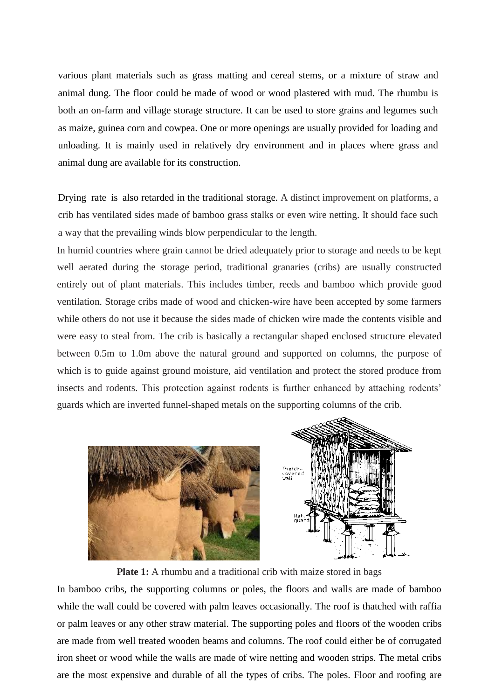various plant materials such as grass matting and cereal stems, or a mixture of straw and animal dung. The floor could be made of wood or wood plastered with mud. The rhumbu is both an on-farm and village storage structure. It can be used to store grains and legumes such as maize, guinea corn and cowpea. One or more openings are usually provided for loading and unloading. It is mainly used in relatively dry environment and in places where grass and animal dung are available for its construction.

Drying rate is also retarded in the traditional storage. A distinct improvement on platforms, a crib has ventilated sides made of bamboo grass stalks or even wire netting. It should face such a way that the prevailing winds blow perpendicular to the length.

In humid countries where grain cannot be dried adequately prior to storage and needs to be kept well aerated during the storage period, traditional granaries (cribs) are usually constructed entirely out of plant materials. This includes timber, reeds and bamboo which provide good ventilation. Storage cribs made of wood and chicken-wire have been accepted by some farmers while others do not use it because the sides made of chicken wire made the contents visible and were easy to steal from. The crib is basically a rectangular shaped enclosed structure elevated between 0.5m to 1.0m above the natural ground and supported on columns, the purpose of which is to guide against ground moisture, aid ventilation and protect the stored produce from insects and rodents. This protection against rodents is further enhanced by attaching rodents' guards which are inverted funnel-shaped metals on the supporting columns of the crib.



**Plate 1:** A rhumbu and a traditional crib with maize stored in bags In bamboo cribs, the supporting columns or poles, the floors and walls are made of bamboo while the wall could be covered with palm leaves occasionally. The roof is thatched with raffia or palm leaves or any other straw material. The supporting poles and floors of the wooden cribs are made from well treated wooden beams and columns. The roof could either be of corrugated iron sheet or wood while the walls are made of wire netting and wooden strips. The metal cribs are the most expensive and durable of all the types of cribs. The poles. Floor and roofing are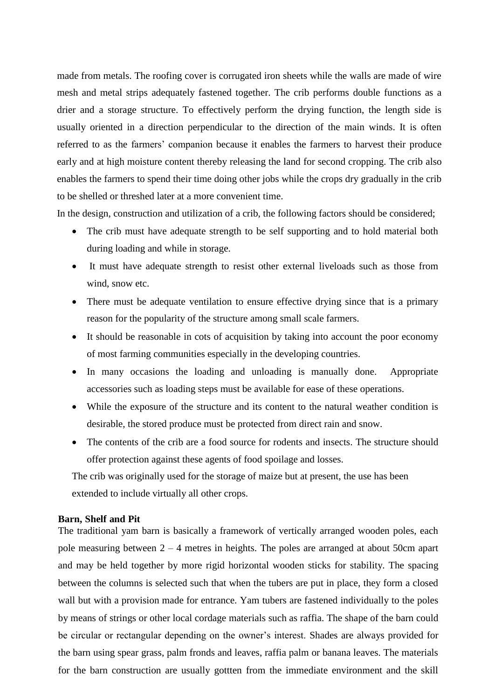made from metals. The roofing cover is corrugated iron sheets while the walls are made of wire mesh and metal strips adequately fastened together. The crib performs double functions as a drier and a storage structure. To effectively perform the drying function, the length side is usually oriented in a direction perpendicular to the direction of the main winds. It is often referred to as the farmers' companion because it enables the farmers to harvest their produce early and at high moisture content thereby releasing the land for second cropping. The crib also enables the farmers to spend their time doing other jobs while the crops dry gradually in the crib to be shelled or threshed later at a more convenient time.

In the design, construction and utilization of a crib, the following factors should be considered;

- The crib must have adequate strength to be self supporting and to hold material both during loading and while in storage.
- It must have adequate strength to resist other external liveloads such as those from wind, snow etc.
- There must be adequate ventilation to ensure effective drying since that is a primary reason for the popularity of the structure among small scale farmers.
- It should be reasonable in cots of acquisition by taking into account the poor economy of most farming communities especially in the developing countries.
- In many occasions the loading and unloading is manually done. Appropriate accessories such as loading steps must be available for ease of these operations.
- While the exposure of the structure and its content to the natural weather condition is desirable, the stored produce must be protected from direct rain and snow.
- The contents of the crib are a food source for rodents and insects. The structure should offer protection against these agents of food spoilage and losses.

The crib was originally used for the storage of maize but at present, the use has been extended to include virtually all other crops.

### **Barn, Shelf and Pit**

The traditional yam barn is basically a framework of vertically arranged wooden poles, each pole measuring between 2 – 4 metres in heights. The poles are arranged at about 50cm apart and may be held together by more rigid horizontal wooden sticks for stability. The spacing between the columns is selected such that when the tubers are put in place, they form a closed wall but with a provision made for entrance. Yam tubers are fastened individually to the poles by means of strings or other local cordage materials such as raffia. The shape of the barn could be circular or rectangular depending on the owner's interest. Shades are always provided for the barn using spear grass, palm fronds and leaves, raffia palm or banana leaves. The materials for the barn construction are usually gottten from the immediate environment and the skill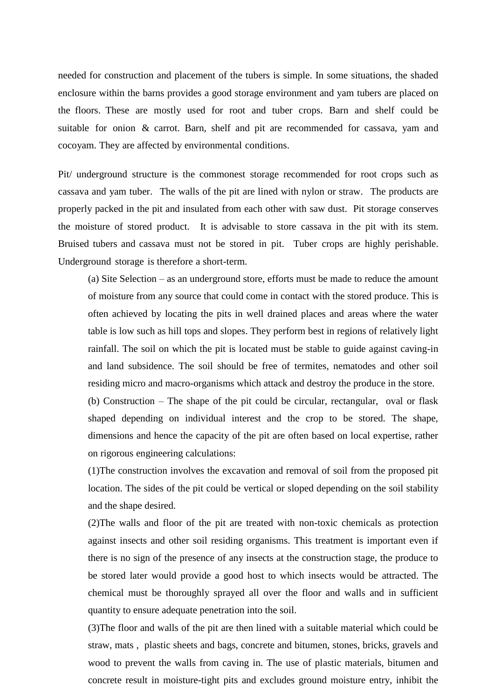needed for construction and placement of the tubers is simple. In some situations, the shaded enclosure within the barns provides a good storage environment and yam tubers are placed on the floors. These are mostly used for root and tuber crops. Barn and shelf could be suitable for onion & carrot. Barn, shelf and pit are recommended for cassava, yam and cocoyam. They are affected by environmental conditions.

Pit/ underground structure is the commonest storage recommended for root crops such as cassava and yam tuber. The walls of the pit are lined with nylon or straw. The products are properly packed in the pit and insulated from each other with saw dust. Pit storage conserves the moisture of stored product. It is advisable to store cassava in the pit with its stem. Bruised tubers and cassava must not be stored in pit. Tuber crops are highly perishable. Underground storage is therefore a short-term.

(a) Site Selection – as an underground store, efforts must be made to reduce the amount of moisture from any source that could come in contact with the stored produce. This is often achieved by locating the pits in well drained places and areas where the water table is low such as hill tops and slopes. They perform best in regions of relatively light rainfall. The soil on which the pit is located must be stable to guide against caving-in and land subsidence. The soil should be free of termites, nematodes and other soil residing micro and macro-organisms which attack and destroy the produce in the store.

(b) Construction – The shape of the pit could be circular, rectangular, oval or flask shaped depending on individual interest and the crop to be stored. The shape, dimensions and hence the capacity of the pit are often based on local expertise, rather on rigorous engineering calculations:

(1)The construction involves the excavation and removal of soil from the proposed pit location. The sides of the pit could be vertical or sloped depending on the soil stability and the shape desired.

(2)The walls and floor of the pit are treated with non-toxic chemicals as protection against insects and other soil residing organisms. This treatment is important even if there is no sign of the presence of any insects at the construction stage, the produce to be stored later would provide a good host to which insects would be attracted. The chemical must be thoroughly sprayed all over the floor and walls and in sufficient quantity to ensure adequate penetration into the soil.

(3)The floor and walls of the pit are then lined with a suitable material which could be straw, mats , plastic sheets and bags, concrete and bitumen, stones, bricks, gravels and wood to prevent the walls from caving in. The use of plastic materials, bitumen and concrete result in moisture-tight pits and excludes ground moisture entry, inhibit the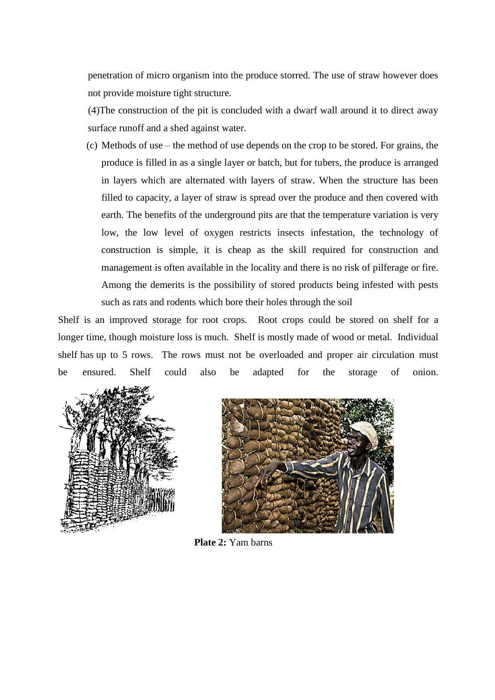penetration of micro organism into the produce storred. The use of straw however does not provide moisture tight structure.

(4)The construction of the pit is concluded with a dwarf wall around it to direct away surface runoff and a shed against water.

(c) Methods of use – the method of use depends on the crop to be stored. For grains, the produce is filled in as a single layer or batch, but for tubers, the produce is arranged in layers which are alternated with layers of straw. When the structure has been filled to capacity, a layer of straw is spread over the produce and then covered with earth. The benefits of the underground pits are that the temperature variation is very low, the low level of oxygen restricts insects infestation, the technology of construction is simple, it is cheap as the skill required for construction and management is often available in the locality and there is no risk of pilferage or fire. Among the demerits is the possibility of stored products being infested with pests such as rats and rodents which bore their holes through the soil

Shelf is an improved storage for root crops. Root crops could be stored on shelf for a longer time, though moisture loss is much. Shelf is mostly made of wood or metal. Individual shelf has up to 5 rows. The rows must not be overloaded and proper air circulation must be ensured. Shelf could also be adapted for the storage of onion.





**Plate 2:** Yam barns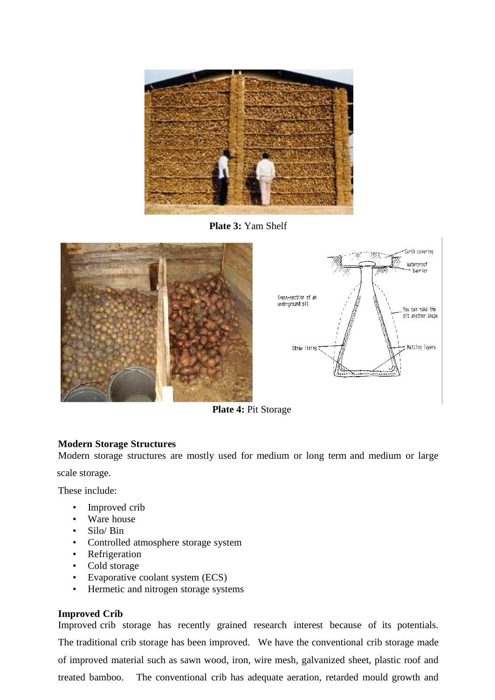

**Plate 3:** Yam Shelf



**Plate 4:** Pit Storage

# **Modern Storage Structures**

Modern storage structures are mostly used for medium or long term and medium or large

scale storage.

These include:

- Improved crib
- Ware house
- Silo/ Bin
- Controlled atmosphere storage system
- Refrigeration
- Cold storage
- Evaporative coolant system (ECS)
- Hermetic and nitrogen storage systems

### **Improved Crib**

Improved crib storage has recently grained research interest because of its potentials. The traditional crib storage has been improved. We have the conventional crib storage made of improved material such as sawn wood, iron, wire mesh, galvanized sheet, plastic roof and treated bamboo. The conventional crib has adequate aeration, retarded mould growth and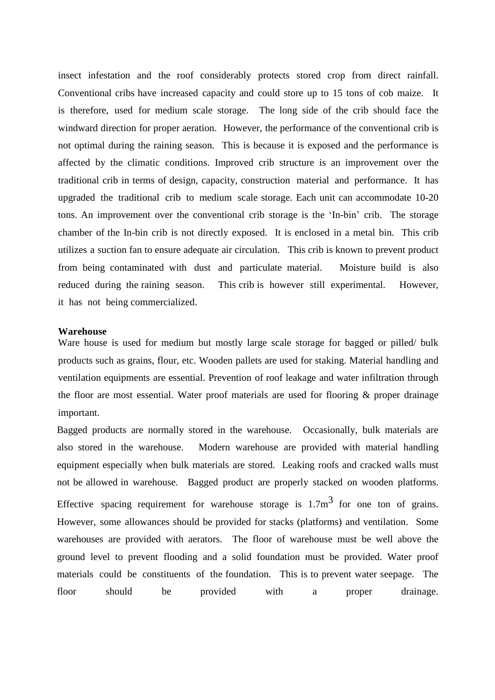insect infestation and the roof considerably protects stored crop from direct rainfall. Conventional cribs have increased capacity and could store up to 15 tons of cob maize. It is therefore, used for medium scale storage. The long side of the crib should face the windward direction for proper aeration. However, the performance of the conventional crib is not optimal during the raining season. This is because it is exposed and the performance is affected by the climatic conditions. Improved crib structure is an improvement over the traditional crib in terms of design, capacity, construction material and performance. It has upgraded the traditional crib to medium scale storage. Each unit can accommodate 10-20 tons. An improvement over the conventional crib storage is the 'In-bin' crib. The storage chamber of the In-bin crib is not directly exposed. It is enclosed in a metal bin. This crib utilizes a suction fan to ensure adequate air circulation. This crib is known to prevent product from being contaminated with dust and particulate material. Moisture build is also reduced during the raining season. This crib is however still experimental. However, it has not being commercialized.

#### **Warehouse**

Ware house is used for medium but mostly large scale storage for bagged or pilled/ bulk products such as grains, flour, etc. Wooden pallets are used for staking. Material handling and ventilation equipments are essential. Prevention of roof leakage and water infiltration through the floor are most essential. Water proof materials are used for flooring & proper drainage important.

Bagged products are normally stored in the warehouse. Occasionally, bulk materials are also stored in the warehouse. Modern warehouse are provided with material handling equipment especially when bulk materials are stored. Leaking roofs and cracked walls must not be allowed in warehouse. Bagged product are properly stacked on wooden platforms. Effective spacing requirement for warehouse storage is  $1.7\text{m}^3$  for one ton of grains. However, some allowances should be provided for stacks (platforms) and ventilation. Some warehouses are provided with aerators. The floor of warehouse must be well above the ground level to prevent flooding and a solid foundation must be provided. Water proof materials could be constituents of the foundation. This is to prevent water seepage. The floor should be provided with a proper drainage.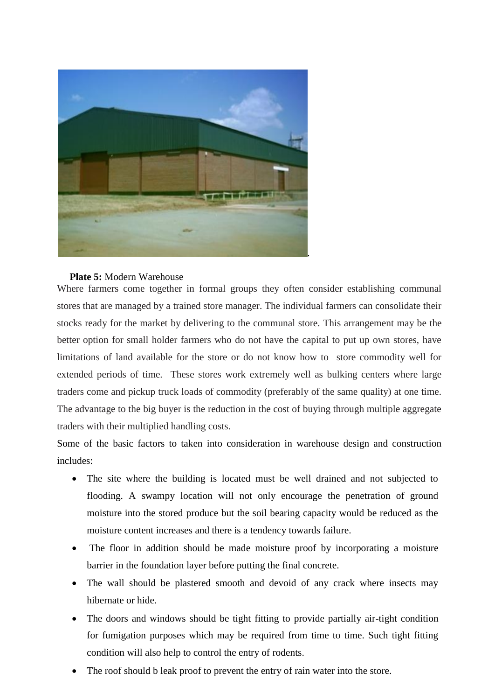

#### **Plate 5:** Modern Warehouse

Where farmers come together in formal groups they often consider establishing communal stores that are managed by a trained store manager. The individual farmers can consolidate their stocks ready for the market by delivering to the communal store. This arrangement may be the better option for small holder farmers who do not have the capital to put up own stores, have limitations of land available for the store or do not know how to store commodity well for extended periods of time. These stores work extremely well as bulking centers where large traders come and pickup truck loads of commodity (preferably of the same quality) at one time. The advantage to the big buyer is the reduction in the cost of buying through multiple aggregate traders with their multiplied handling costs.

Some of the basic factors to taken into consideration in warehouse design and construction includes:

- The site where the building is located must be well drained and not subjected to flooding. A swampy location will not only encourage the penetration of ground moisture into the stored produce but the soil bearing capacity would be reduced as the moisture content increases and there is a tendency towards failure.
- The floor in addition should be made moisture proof by incorporating a moisture barrier in the foundation layer before putting the final concrete.
- The wall should be plastered smooth and devoid of any crack where insects may hibernate or hide.
- The doors and windows should be tight fitting to provide partially air-tight condition for fumigation purposes which may be required from time to time. Such tight fitting condition will also help to control the entry of rodents.
- The roof should b leak proof to prevent the entry of rain water into the store.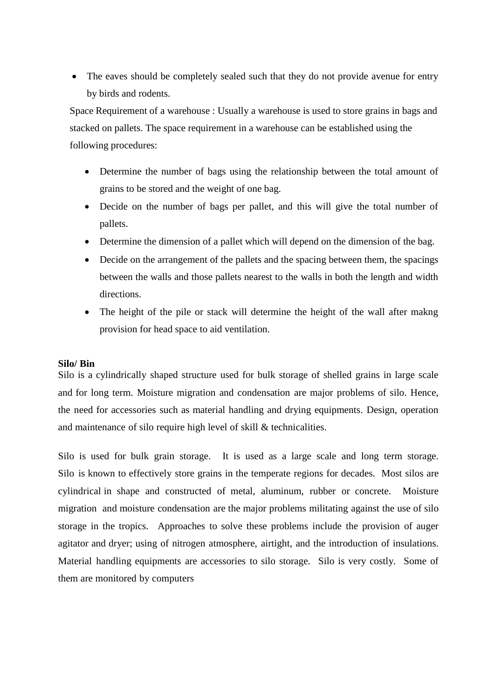The eaves should be completely sealed such that they do not provide avenue for entry by birds and rodents.

Space Requirement of a warehouse : Usually a warehouse is used to store grains in bags and stacked on pallets. The space requirement in a warehouse can be established using the following procedures:

- Determine the number of bags using the relationship between the total amount of grains to be stored and the weight of one bag.
- Decide on the number of bags per pallet, and this will give the total number of pallets.
- Determine the dimension of a pallet which will depend on the dimension of the bag.
- Decide on the arrangement of the pallets and the spacing between them, the spacings between the walls and those pallets nearest to the walls in both the length and width directions.
- The height of the pile or stack will determine the height of the wall after makng provision for head space to aid ventilation.

### **Silo/ Bin**

Silo is a cylindrically shaped structure used for bulk storage of shelled grains in large scale and for long term. Moisture migration and condensation are major problems of silo. Hence, the need for accessories such as material handling and drying equipments. Design, operation and maintenance of silo require high level of skill & technicalities.

Silo is used for bulk grain storage. It is used as a large scale and long term storage. Silo is known to effectively store grains in the temperate regions for decades. Most silos are cylindrical in shape and constructed of metal, aluminum, rubber or concrete. Moisture migration and moisture condensation are the major problems militating against the use of silo storage in the tropics. Approaches to solve these problems include the provision of auger agitator and dryer; using of nitrogen atmosphere, airtight, and the introduction of insulations. Material handling equipments are accessories to silo storage. Silo is very costly. Some of them are monitored by computers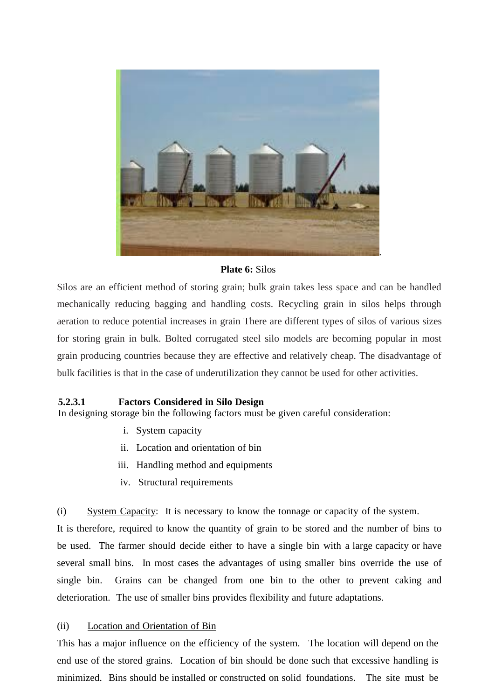

### **Plate 6:** Silos

Silos are an efficient method of storing grain; bulk grain takes less space and can be handled mechanically reducing bagging and handling costs. Recycling grain in silos helps through aeration to reduce potential increases in grain There are different types of silos of various sizes for storing grain in bulk. Bolted corrugated steel silo models are becoming popular in most grain producing countries because they are effective and relatively cheap. The disadvantage of bulk facilities is that in the case of underutilization they cannot be used for other activities.

# **5.2.3.1 Factors Considered in Silo Design**

In designing storage bin the following factors must be given careful consideration:

- i. System capacity
- ii. Location and orientation of bin
- iii. Handling method and equipments
- iv. Structural requirements

(i) System Capacity: It is necessary to know the tonnage or capacity of the system.

It is therefore, required to know the quantity of grain to be stored and the number of bins to be used. The farmer should decide either to have a single bin with a large capacity or have several small bins. In most cases the advantages of using smaller bins override the use of single bin. Grains can be changed from one bin to the other to prevent caking and deterioration. The use of smaller bins provides flexibility and future adaptations.

### (ii) Location and Orientation of Bin

This has a major influence on the efficiency of the system. The location will depend on the end use of the stored grains. Location of bin should be done such that excessive handling is minimized. Bins should be installed or constructed on solid foundations. The site must be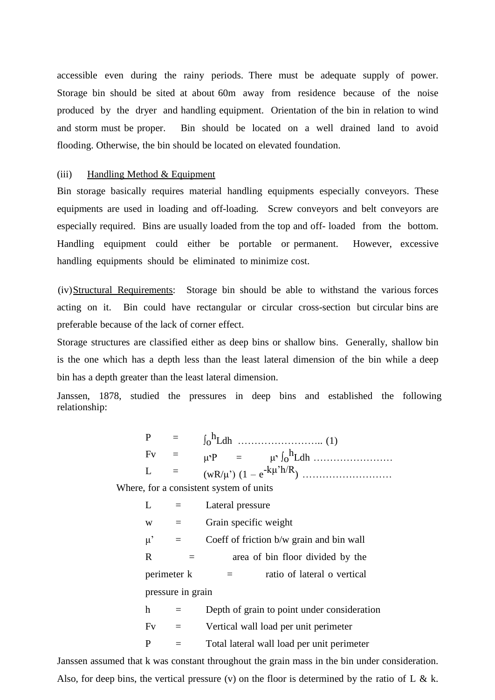accessible even during the rainy periods. There must be adequate supply of power. Storage bin should be sited at about 60m away from residence because of the noise produced by the dryer and handling equipment. Orientation of the bin in relation to wind and storm must be proper. Bin should be located on a well drained land to avoid flooding. Otherwise, the bin should be located on elevated foundation.

#### (iii) Handling Method & Equipment

Bin storage basically requires material handling equipments especially conveyors. These equipments are used in loading and off-loading. Screw conveyors and belt conveyors are especially required. Bins are usually loaded from the top and off- loaded from the bottom. Handling equipment could either be portable or permanent. However, excessive handling equipments should be eliminated to minimize cost.

(iv)Structural Requirements: Storage bin should be able to withstand the various forces acting on it. Bin could have rectangular or circular cross-section but circular bins are preferable because of the lack of corner effect.

Storage structures are classified either as deep bins or shallow bins. Generally, shallow bin is the one which has a depth less than the least lateral dimension of the bin while a deep bin has a depth greater than the least lateral dimension.

Janssen, 1878, studied the pressures in deep bins and established the following relationship:

Where, for a consistent system of units

|                   |          | Lateral pressure                            |  |  |
|-------------------|----------|---------------------------------------------|--|--|
| W                 | $=$      | Grain specific weight                       |  |  |
| $\mu^*$           |          | Coeff of friction b/w grain and bin wall    |  |  |
| $\mathbf R$       | $=$      | area of bin floor divided by the            |  |  |
| perimeter k       |          | ratio of lateral o vertical<br>$=$          |  |  |
| pressure in grain |          |                                             |  |  |
| h                 | $\equiv$ | Depth of grain to point under consideration |  |  |
| F <sub>V</sub>    | $=$      | Vertical wall load per unit perimeter       |  |  |
| P                 | $=$      | Total lateral wall load per unit perimeter  |  |  |
|                   |          |                                             |  |  |

Janssen assumed that k was constant throughout the grain mass in the bin under consideration. Also, for deep bins, the vertical pressure (v) on the floor is determined by the ratio of L & k.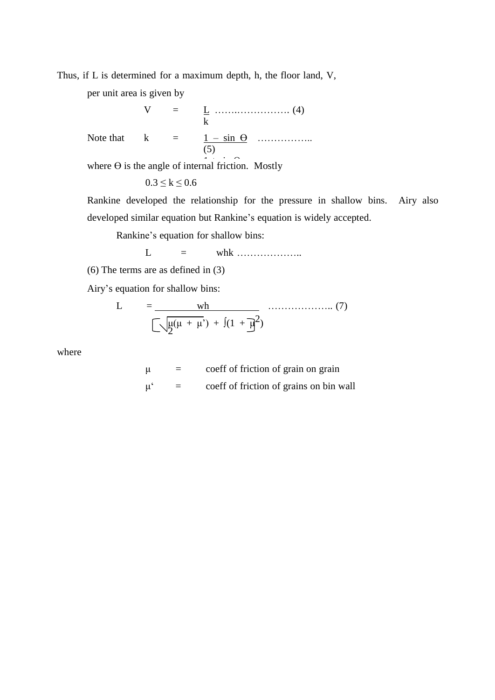Thus, if L is determined for a maximum depth, h, the floor land, V,

per unit area is given by

V = L …….……………. (4) k Note that  $k = 1 - \sin \theta$  …………… (5) where  $\Theta$  is the angle of internal friction. Mostly

 $0.3 \leq k \leq 0.6$ 

Rankine developed the relationship for the pressure in shallow bins. Airy also developed similar equation but Rankine's equation is widely accepted.

Rankine's equation for shallow bins:

L = whk ………………..

(6) The terms are as defined in (3)

Airy's equation for shallow bins:

L = 
$$
\frac{wh}{\sqrt{\mu(\mu + \mu')} + (1 + \mu^2)}
$$
............ (7)

where

$$
\mu = \text{coeff of friction of grain on grain}
$$
\n
$$
\mu' = \text{coeff of friction of grains on bin wall}
$$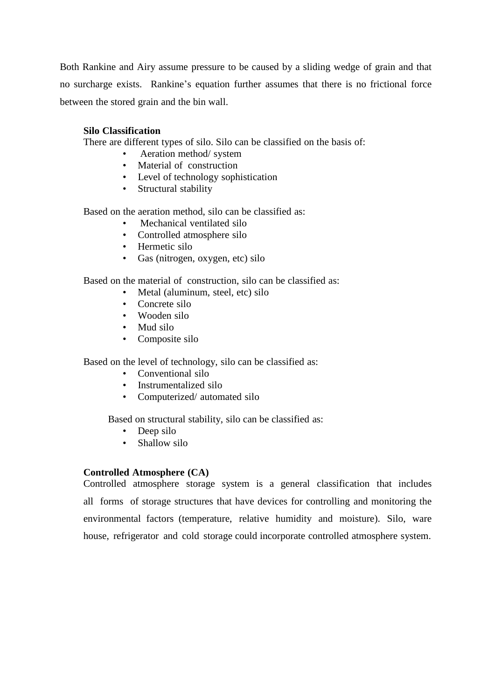Both Rankine and Airy assume pressure to be caused by a sliding wedge of grain and that no surcharge exists. Rankine's equation further assumes that there is no frictional force between the stored grain and the bin wall.

### **Silo Classification**

There are different types of silo. Silo can be classified on the basis of:

- Aeration method/ system
- Material of construction
- Level of technology sophistication
- Structural stability

Based on the aeration method, silo can be classified as:

- Mechanical ventilated silo
- Controlled atmosphere silo
- Hermetic silo
- Gas (nitrogen, oxygen, etc) silo

Based on the material of construction, silo can be classified as:

- Metal (aluminum, steel, etc) silo
- Concrete silo
- Wooden silo
- Mud silo
- Composite silo

Based on the level of technology, silo can be classified as:

- Conventional silo
- Instrumentalized silo
- Computerized/ automated silo

Based on structural stability, silo can be classified as:

- Deep silo
- Shallow silo

#### **Controlled Atmosphere (CA)**

Controlled atmosphere storage system is a general classification that includes all forms of storage structures that have devices for controlling and monitoring the environmental factors (temperature, relative humidity and moisture). Silo, ware house, refrigerator and cold storage could incorporate controlled atmosphere system.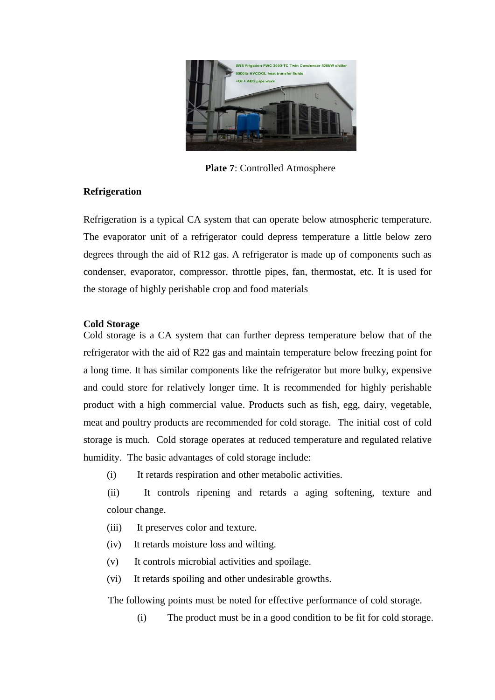

**Plate 7**: Controlled Atmosphere

# **Refrigeration**

Refrigeration is a typical CA system that can operate below atmospheric temperature. The evaporator unit of a refrigerator could depress temperature a little below zero degrees through the aid of R12 gas. A refrigerator is made up of components such as condenser, evaporator, compressor, throttle pipes, fan, thermostat, etc. It is used for the storage of highly perishable crop and food materials

# **Cold Storage**

Cold storage is a CA system that can further depress temperature below that of the refrigerator with the aid of R22 gas and maintain temperature below freezing point for a long time. It has similar components like the refrigerator but more bulky, expensive and could store for relatively longer time. It is recommended for highly perishable product with a high commercial value. Products such as fish, egg, dairy, vegetable, meat and poultry products are recommended for cold storage. The initial cost of cold storage is much. Cold storage operates at reduced temperature and regulated relative humidity. The basic advantages of cold storage include:

- (i) It retards respiration and other metabolic activities.
- (ii) It controls ripening and retards a aging softening, texture and colour change.
- (iii) It preserves color and texture.
- (iv) It retards moisture loss and wilting.
- (v) It controls microbial activities and spoilage.
- (vi) It retards spoiling and other undesirable growths.

The following points must be noted for effective performance of cold storage.

(i) The product must be in a good condition to be fit for cold storage.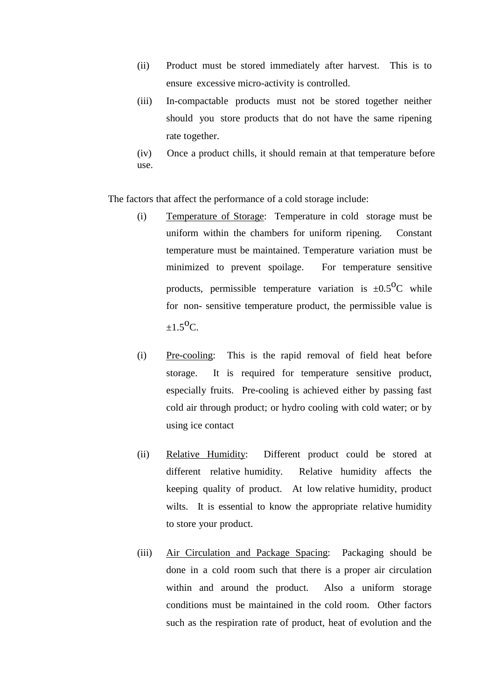- (ii) Product must be stored immediately after harvest. This is to ensure excessive micro-activity is controlled.
- (iii) In-compactable products must not be stored together neither should you store products that do not have the same ripening rate together.

(iv) Once a product chills, it should remain at that temperature before use.

The factors that affect the performance of a cold storage include:

- (i) Temperature of Storage: Temperature in cold storage must be uniform within the chambers for uniform ripening. Constant temperature must be maintained. Temperature variation must be minimized to prevent spoilage. For temperature sensitive products, permissible temperature variation is  $\pm 0.5$ <sup>O</sup>C while for non- sensitive temperature product, the permissible value is  $+1.5^{\circ}$ C.
- (i) Pre-cooling: This is the rapid removal of field heat before storage. It is required for temperature sensitive product, especially fruits. Pre-cooling is achieved either by passing fast cold air through product; or hydro cooling with cold water; or by using ice contact
- (ii) Relative Humidity: Different product could be stored at different relative humidity. Relative humidity affects the keeping quality of product. At low relative humidity, product wilts. It is essential to know the appropriate relative humidity to store your product.
- (iii) Air Circulation and Package Spacing: Packaging should be done in a cold room such that there is a proper air circulation within and around the product. Also a uniform storage conditions must be maintained in the cold room. Other factors such as the respiration rate of product, heat of evolution and the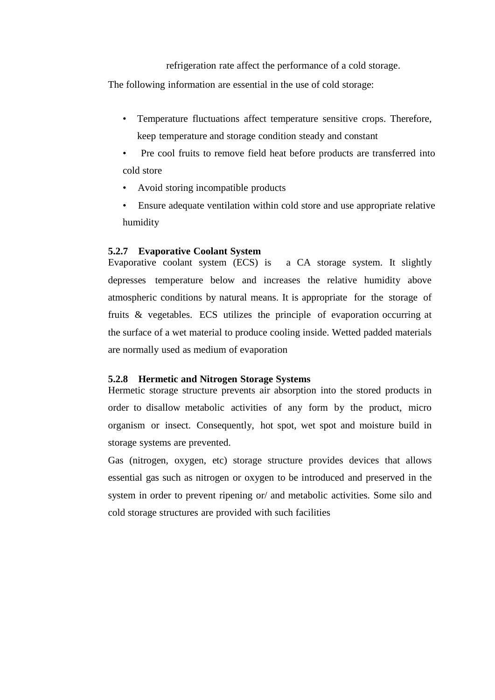refrigeration rate affect the performance of a cold storage.

The following information are essential in the use of cold storage:

- Temperature fluctuations affect temperature sensitive crops. Therefore, keep temperature and storage condition steady and constant
- Pre cool fruits to remove field heat before products are transferred into cold store
- Avoid storing incompatible products
- Ensure adequate ventilation within cold store and use appropriate relative humidity

### **5.2.7 Evaporative Coolant System**

Evaporative coolant system (ECS) is a CA storage system. It slightly depresses temperature below and increases the relative humidity above atmospheric conditions by natural means. It is appropriate for the storage of fruits & vegetables. ECS utilizes the principle of evaporation occurring at the surface of a wet material to produce cooling inside. Wetted padded materials are normally used as medium of evaporation

### **5.2.8 Hermetic and Nitrogen Storage Systems**

Hermetic storage structure prevents air absorption into the stored products in order to disallow metabolic activities of any form by the product, micro organism or insect. Consequently, hot spot, wet spot and moisture build in storage systems are prevented.

Gas (nitrogen, oxygen, etc) storage structure provides devices that allows essential gas such as nitrogen or oxygen to be introduced and preserved in the system in order to prevent ripening or/ and metabolic activities. Some silo and cold storage structures are provided with such facilities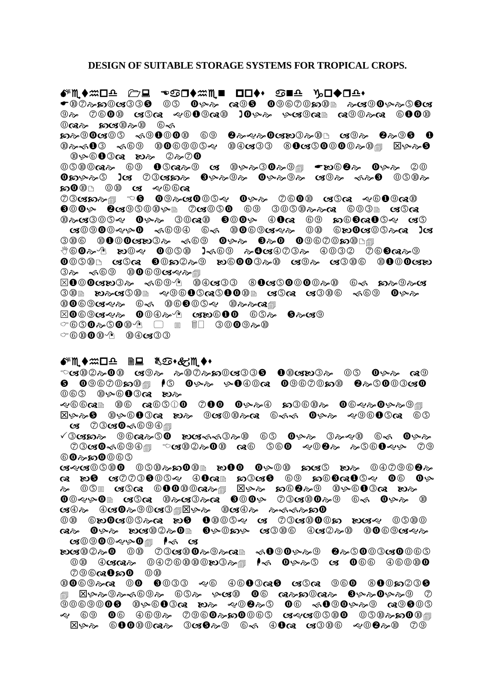#### **DESIGN OF SUITABLE STORAGE SYSTEMS FOR TROPICAL CROPS.**

# ▞<sub>▓</sub>**▊**<sup></sup>▓**◻**<del>▵</del>▕▔▔▔</sub>▗▖<sub></sub><sub></sub>

*+®๎ฃ๛*ฅ®๘ฃฃ๏ ๏๏ ๏๛๛๎ ๙๏๏ ๏๏๏๛๏ฃ๏ ๛๘๏๏๛๛๏๏๘  $\mathbb{Q}$ a 2000 uson 4000a 10,000 a yuson a $\mathbb{Q}$   $0$ %003 $\alpha$  we  $0 \rightarrow 0$  $0000$ a $\approx$  00 00a $\approx$ 0  $\approx$  0 $\approx$  00 $\approx$ 0 $\approx$ 00 $\approx$  **8000 00 00 00 4000 800**   $0.00$ % prosocos crosoco co cocomuna coca **OSU UST OSS OCAO OOOS OOR OO DOOROOR CO დეეტი**დდ**ი ა**რიის რა რისელი დეის რომარი ჯარის გა **300 0000cxx32 <00 0%2 620 09000000**h  $00000$   $\alpha$   $00000$   $\alpha$   $00000$   $\alpha$   $00000$   $\alpha$   $0000000$ 32 600 00000422  $\nabla \phi \otimes \phi$  and  $\nabla \phi$  and  $\nabla \phi$  and  $\nabla \phi$  and  $\nabla \phi$  and  $\nabla \phi$  and  $\nabla \phi$ **30 D & & BOOOC & BOOOC BOOD BOOD AGO 0 % &** 00000342 06 000004 02208  $\times$ 0000342 00021 030000 002 0209 **☞600~500↑ □ ■ 『□ 3009~® 000000 00000** 

#### 6<sup></sup>₩∭♦₩□≏ ▤▤ ▒S•&;∭♦•

 $\sim$ c300a00 c30a a00a00c330 00c303a 00 0aa c30 0 00000m0@ 10 0%% %000x 00000m0 0%0000x0  $000$   $0900$   $030$   $030$ 

**<00am 00 a0000 000 0>>0 m300> 00<>0>>**9@ **ED DOOD® && GAQOD& DAGOD® && DAGOOD& G& 3** 03030 6094 a

 $\sqrt{3}$ หต่อ 00 ฉอง 00 จันที่ 20 จันที่ 00 จันที่ 3อง 0 จันที่ 0 จันที่ 0 00x0<600m ~x00a00 x6 060 <00a a000<> 09 **60200000** 

**G&GOOOO 000&GOOB &OO 0%00 GOGO && 000000& « හි යට්ටාමාවිය මටය හා කාර්ඩ ැනවා නම්ම**විටිලා **මිය** හ ๛ ©©≣ *ၒ*IGox ©OO@©രു๛ฏ ⊠ฺ๛๛ ဢ©O๛® ®ฺ∞©O©ര ဃ๛ 00490§ c30a 02c302a 0009 00c30020 66 092 0

 $\mathbb{R}^{0}$  and  $\mathbb{R}^{0}$  and  $\mathbb{R}^{0}$  and  $\mathbb{R}^{0}$  and  $\mathbb{R}^{0}$  and  $\mathbb{R}^{0}$  and  $\mathbb{R}^{0}$ **֎֍ՠ֎֍֎ՠՠՠՠ֍֎֎ՠՠՠՠՠՠՠՠՠՠՠՠՠՠՠՠ c30000%%0m km c3** 

 00  $0$ csa 00000000003 and  $\sim$  0. 0. 0. 000 00000 000x0m0 00

0000208 00 0000 40 0000a0 0008 000 0000000 ๏ ⊠๛๛®๛๘๏๏๛ ๏๏๛ ๛๘๏ ๏๏ ๙๛ฃ๏๙๛ ๏๛๛๏๛๛๏ ๏  $\overline{0}00000$ 00  $\overline{0}$ 9  $\overline{0}03$ ox ro $\approx$  400 $\overline{0}$  4000  $\approx$   $\sim$  0000  $\approx$   $\approx$  0000  $\approx$   $\approx$  00000  $\approx$ **<00 00 0000 000000000 000000 0000000** ⊠๛๛ ©0000α๛ 3cm0๛® ๛๛ ๏0๙ ๘๑๗๏ ๙๏0๛๏ ๐๏๎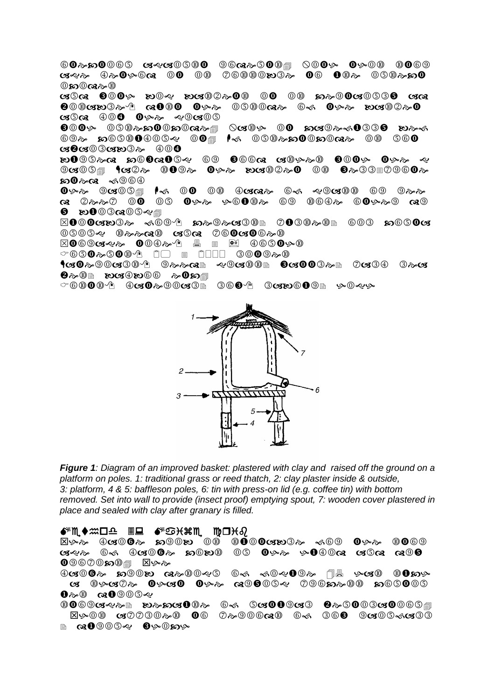$\textcircled{\circ}$ co  $\textcircled{\circ}$  a  $\textcircled{\circ}$   $\textcircled{\circ}$  a  $\textcircled{\circ}$  a  $\textcircled{\circ}$  a  $\textcircled{\circ}$  a  $\textcircled{\circ}$  a  $\textcircled{\circ}$  a  $\textcircled{\circ}$  a  $\textcircled{\circ}$  a  $\textcircled{\circ}$  a  $\textcircled{\circ}$  a  $\textcircled{\circ}$  a  $\textcircled{\circ}$  a  $\textcircled{\circ}$  a  $\textcircled{\circ}$  a  $\textcircled{\circ}$  a  $\textcircled{\circ$  $\alpha$  $@$ ைலை  $0.600$  or  $0.900$  or  $0.9000$  or  $0.900$  or  $0.900$  or  $0.900$  or  $0.900$  or  $0.900$  or  $0.900$  or  $0.900$  or  $0.900$  or  $0.900$  or  $0.900$  or  $0.900$  or  $0.900$  or  $0.900$  or  $0.900$  or  $0.900$  or  $0.900$  or  $0.900$  or **GOQ 400 0**%» 40000  $0.00$ %  $0.000$ %00%0a%a  $0.000$ %00%00%0000 w. **wOOOza moOaOO& 60 OOOa cooxa OOOS Osza e**  $0$ 0000  $\sim$  000 $\sim$  0  $\sim$  2000 $\sim$  000 0 $\sim$  000 0000 **ு செலை கூ**  $0$ %%  $0$ c300@ I< 00 00 00303% 0<  $\sim$ 0c300 00 0%% Q 2220 00 09 092 90002 69 0642 60929 Q Q 6 **80000a00**%m  $\times$ 0000300a < 004 saa0a30a 0000a0a 000 sa600c3 0000% 0~~~~0 00% 000000~0<br>postal dog~^ = = 00000  $\nabla$ 000003422 000224  $\uparrow$  =  $\blacksquare$  0000920 103020003001 02208 400300€ 8030032€ 00330 3203  $0.40$   $0.0000$   $0.0000$ 



*Figure 1: Diagram of an improved basket: plastered with clay and raised off the ground on a platform on poles. 1: traditional grass or reed thatch, 2: clay plaster inside & outside, 3: platform, 4 & 5: baffleson poles, 6: tin with press-on lid (e.g. coffee tin) with bottom removed. Set into wall to provide (insect proof) emptying spout, 7: wooden cover plastered in place and sealed with clay after granary is filled.*

#### 6<sup>\*</sup>M◆<del>第ロで ■■ 6\*</del>5米第M Mロ米8

  $\mathbf{G} \otimes \mathbf{A}$  and  $\mathbf{D} \otimes \mathbf{A}$  and  $\mathbf{D} \otimes \mathbf{A}$  and  $\mathbf{D} \otimes \mathbf{A}$  and  $\mathbf{D} \otimes \mathbf{A}$  and  $\mathbf{D} \otimes \mathbf{A}$  $00000$  and  $\boxtimes$   $\rightarrow$  $\oplus$ colo modo de Cos o colopo de Cos de Cos de Cos de Cos de Cos de Cos de Cos de Cos de Cos de Cos de Cos de Cos de Cos de Cos de Cos de Cos de Cos de Cos de Cos de Cos de Cos de Cos de Cos de Cos de Cos de Cos de Cos d  $\alpha$  0x $\alpha$ 0x 0x $\alpha$ 0 0xx  $\alpha$ 000x 000xx00 x00000  $0 \approx 0$   $\approx 0000$   $X \rightarrow 0$   $\omega$  and  $0 \rightarrow 0$  and  $0 \rightarrow 0$  and  $0 \rightarrow 0$  and  $0 \rightarrow 0$  and  $0 \rightarrow 0$ **฿** ๙0000% 0๛ฃ๛๛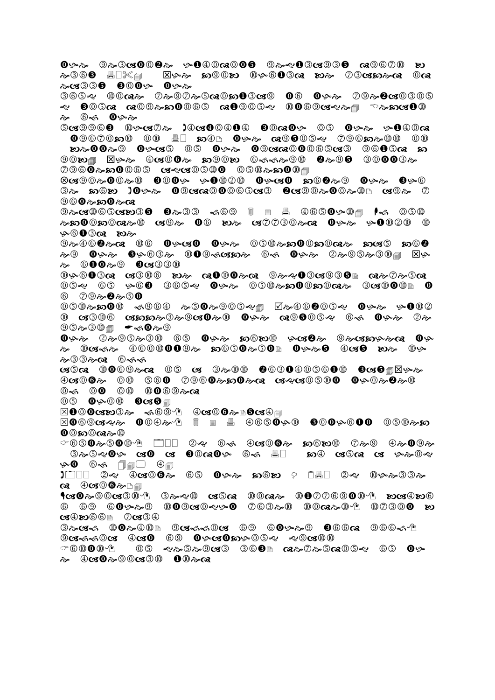$\bullet$ %% @%30000% %0@0@@00 @%%030930 @@@00@ & 2000 月 ※ 日  $\boxtimes$ ଚ୍ଚ୍ଚ ଉତ୍ତା $\boxtimes$  ନ୍ତ୍ର ଉତ୍ତା $\textcircled{\tiny{1}}$  ଓ ବ୍ରତ୍ତା ଓ ବ୍ରତ୍ $\boxtimes$ **გდეემ მე0ჯ 0ჯგ**  $\approx$  0  $\approx$  0  $\gg \approx$  $0.99000$   $\bullet$   $0.94000000$   $\bullet$   $0.9400000$   $\bullet$   $0.9400000$ 00000m0 00 AD m00 0%% x0000% 000m%00 00 0000~00000 cs<cs0000 000~000=  $\mathbb{G}$ & නමහ 10%& 09ශ $\alpha$ 000000ග $\mathbb{G}$  0000&00&00 ග $\mathbb{G}$  ක **<b><b>900**20020  $\circledR$ **அதே தைபெடு**  $0 \rightarrow 0$   $0 \rightarrow \infty$   $0$   $0 \rightarrow \infty$   $0$   $0 \rightarrow \infty$   $0$   $0 \rightarrow \infty$   $0$   $0$   $0 \rightarrow \infty$   $0$   $0$   $0$ 20 000 60002 000≤cm2 0< 000 000 02000 0  $\approx 0.00 \approx 0$   $\approx 0.300$  $0 \rightarrow 0$  . The subsequence  $0 \rightarrow 0$  of  $0$  and  $0 \rightarrow 0$  and  $0 \rightarrow 0$  and  $0 \rightarrow 0$  and  $0 \rightarrow 0$  and  $0 \rightarrow 0$  and  $0 \rightarrow 0$  and  $0 \rightarrow 0$  and  $0 \rightarrow 0$  and  $0 \rightarrow 0$  and  $0 \rightarrow 0$  and  $0 \rightarrow 0$  and  $0 \rightarrow 0$  and  $0 \rightarrow 0$  and  $0 \rightarrow 0$  and  $0 \rightarrow 0$  004 60 960 3604 092 0920000000022 30000m 0  $0$   $0$   $0$   $\sim$   $0$   $\sim$   $0$  $\mathbf 0$  c300 c3000>0>0c30>0 0>> a9005< 0< 0>> 0> c  $90200 = -6020$  $\mathbf{0}$ %%  $\mathbb{Z}_{\geq 0}$  and  $\mathbb{Z}_{\geq 0}$  and  $\mathbb{Z}_{\geq 0}$  and  $\mathbb{Z}_{\geq 0}$  and  $\mathbb{Z}_{\geq 0}$  and  $\mathbb{Z}_{\geq 0}$  $\approx 30$ za  $\theta$ ss **GOQ 00002Q 00 G 0200 0000000000 0G0a**N92  $\Theta$ cola 00 560 7960an0an coros000 0r0a0an  $0 \Leftrightarrow 00000000000$ 00 0%00 0c30a ⊠000c32032 <©©^© @c3002Bc3@@  $\boxtimes$ 00003422 000221  $\parallel$  =  $\parallel$  0000 $\rightarrow$ 0 000 $\rightarrow$ 000 000220  $0$ ைலை  $\sim$  600%000^1  $\Box$  $\Box$  0< 6< 0c300% nore 0%0 0%0 0%00%  $\triangleright$  0  $\circ$  6  $\uparrow$   $\uparrow$   $\Box$   $\circ$   $\uparrow$ **๙ ⊕๘๏๏**๛๛฿  $90000000000$  and  $00000000000$  and  $00000000000$   $000000000000$ ൈ 60-ാകു സ00സം രേക്ക നിരാകു സിക്കുന്ന സമാര സ ൫  $G300000$   $O G30$  $0 \rightarrow 0$   $\sim 0$   $\sim 0$   $\sim 0$   $\sim 0$   $\sim 0$   $\sim 0$   $\sim 0$   $\sim 0$   $\sim 0$   $\sim 0$   $\sim 0$   $\sim 0$   $\sim 0$   $\sim 0$   $\sim 0$   $\sim 0$   $\sim 0$   $\sim 0$   $\sim 0$   $\sim 0$   $\sim 0$   $\sim 0$   $\sim 0$   $\sim 0$   $\sim 0$   $\sim 0$   $\sim 0$   $\sim 0$   $\sim 0$   $\sim 0$   $\sim$  $9$ 0366003  $9$ 030  $09$  090305090  $490$ 0300  $\textcircled{--}$  (6) (10)  $\textcircled{10}$  (10)  $\textcircled{+}$  $0$ 0 4202040 100 m220204004 00  $0$  $\sim$  0cm 0.000 0.000 0.000 0.000 0.000 0.000 0.000 0.000 0.000 0.000 0.000 0.000 0.000 0.000 0.000 0.000 0.000 0.000 0.000 0.000 0.000 0.000 0.000 0.000 0.000 0.000 0.000 0.000 0.000 0.000 0.000 0.000 0.000 0.000 0.000 0.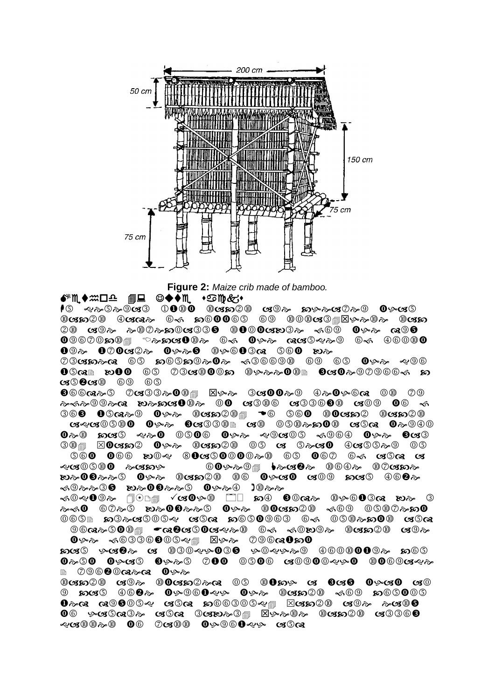

**Figure 2:** *Maize crib made of bamboo.*  $\bullet^*$   $\blacksquare$   $\bullet$   $\mathbb{R}$   $\blacksquare$   $\circ$   $\bullet$   $\bullet$   $\blacksquare$   $\bullet$   $\circ$   $\mathbb{R}$   $\bullet$   $\circ$ 

  $0$ usa $00$   $0$ usa $\sim$   $0$   $\sim$  ao $0$ 00 $0$   $0$   $0$   $00$ us $0$   $0$   $0$ us $\sim$   $0$ usa  $20$  cs92 2002200cs930 0000csr92 409 092 a90 002 0000302 0920 090000 000 m2

  $0$ 00 $\alpha$  r)  $0$  00 00 00 $\alpha$  00 $\alpha$  00 $\alpha$  00 $\alpha$  00 $\alpha$  00 $0$ 00 $\alpha$   $\alpha$   $\alpha$ c300c30 69 69

 $0.000$ a $\sim$ 0  $0.0000$ a  $1.0000$ a  $0.0000$ a  $0.00000$ a  $0.00000$  $\sim$ รร $\sim$ 002 $\alpha$  พลพ $\alpha$ 002 00 ห300 ห33000  $\alpha$ 300 00 ร  $\textcircled{\tiny{100}}$  . Ostable  $\textcircled{\tiny{100}}$  and  $\textcircled{\tiny{100}}$  and  $\textcircled{\tiny{100}}$  and  $\textcircled{\tiny{100}}$ **œ≪œ©\$®O O≫ஃ 6œ**33®≞ œ® ©\$®��O® œ\$œ O�®@  $0 \rightarrow 0$  nos  $\leftrightarrow 0$  0000 0 to  $\leftrightarrow$  0000  $\leftrightarrow$  000 0 to 0 cs  $\textcircled{10}$   $\textcircled{10}$   $\textcircled{10}$   $\textcircled{10}$   $\textcircled{10}$   $\textcircled{10}$   $\textcircled{10}$   $\textcircled{10}$   $\textcircled{10}$   $\textcircled{10}$   $\textcircled{10}$   $\textcircled{10}$   $\textcircled{10}$   $\textcircled{10}$   $\textcircled{10}$   $\textcircled{10}$   $\textcircled{10}$   $\textcircled{10}$   $\textcircled{10}$   $\textcircled{10}$  000 000 WOR 00030000020 00 000 06 000 06 **<200000 ~0000 →0000000 →0000** → 0000 → 00000 → 000000 **w~00\*~**© 0%\* @cgm@@ @@ 0%cg0 cg@@ mcg@ @@@\*  $\mathcal{L}(\mathbb{R})$  and  $\mathbf{0}$  and  $\mathbf{0}$  and  $\mathbf{0}$   $\mathcal{L}(\mathbb{R})$  and  $\mathbf{0}$ 

 ๛๘0 ๛ฃ๛๛ ๛๛๏๏๛๛๛ ๏๛๛ ๛๏๛๛๛๛๛๏๛๛๛๛๏  $0000$ a m $0\rightarrow 0$  were motor motor and motor motor  $00000$  $0$ 0a $\sim$ 00a  $\sim$ a0cs0a $\sim$ a 0 $\sim$  40a)a 0csa00 cs0a 

  $0 \rightarrow 0$   $0 \rightarrow 0$   $0 \rightarrow 0$   $0 \rightarrow 0$   $0$   $0 \rightarrow 0$   $0$   $0 \rightarrow 0$   $0$   $0 \rightarrow 0$   $0$   $0 \rightarrow 0$ 

 $0$ una $0$  und  $\sim$   $0$ una $0 \sim$ a  $0 \sim$   $0$ nos und  $0 \sim$ uno und 0 mx5 000. Ox000&x Ox. 0x. 0xm20 <00 m00000  $\mathbf{0}$  , and  $\mathbf{0}$  and  $\mathbf{0}$  and  $\mathbf{0}$  and  $\mathbf{0}$  and  $\mathbf{0}$  and  $\mathbf{0}$  and  $\mathbf{0}$ **֎֎֎֍֎ՠ՟՟՟֎֎֎ՠՠՠՠՠՠՠՠՠՠՠՠՠՠՠՠ**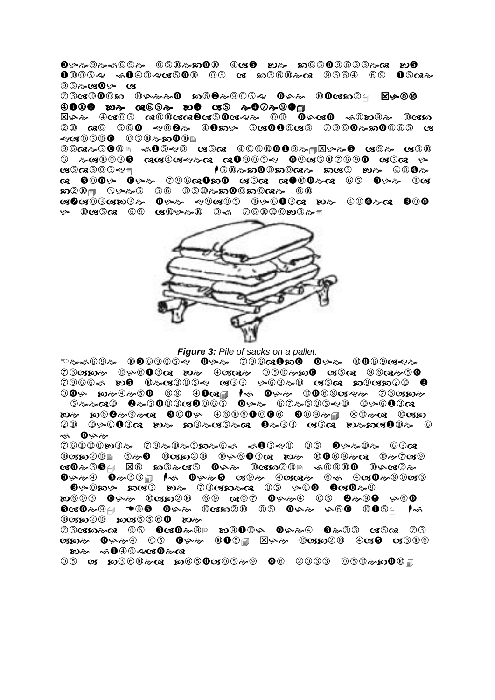$00209 - 03$ 

 $0.00000$ ෨ ®ෟ෬෬0 ෨®0෬®®෧෫ 0ෟ෬ ®0œ෨©∏ ⊠ෟ®® **@000 හස යැ**මරික හම යෙම ගෙන අප

  $20$  a  $0$   $0$   $\sim$   $0$   $\sim$   $0$   $\sim$   $0$   $\sim$   $0$   $\sim$   $0$   $0$   $0$   $\sim$   $0$   $0$   $\sim$   $0$   $0$   $0$   $\sim$   $\sim$ 

  $\bullet$  କରା  $\bullet$  ନାରି ପାର୍ବାର୍ଡିବାର୍ଡି କରା ନାର୍ବାର୍ଡିବାର୍ଡି ରା ନାର୍ବାର୍ଡିବାର୍ଡି ରା ନାର୍ବାର୍ଡି ରା କରା କରା ରାଜ୍ୟ<br>କ909 କରା ପିଷ୍ପର୍ବ କନ୍ଧାର୍ଡିସାର୍କ୍ଷତୀ ।  $\alpha$  000  $\sim$  0  $\rightarrow$  000 $\alpha$ 000 000 0000 0000 0000 0000 **ต00** Need 00 000er00m0ae 00

 **ฺ๛ ๗๐๘๐๙ ๏๏ ๐๗๛๛๗ ๏๘ ๐๏๗๗๏๗๏๛**ฅ



*Figure 3: Pile of sacks on a pallet.*

 $\nabla$ 22602 00000000 002 0020 0000 002 0000000  $0.000$   $\omega$   $\sim$   $0.0000$   $\omega$   $\sim$   $0.000$   $\omega$   $\sim$   $0.000$   $\omega$   $\sim$   $0.000$   $\omega$   $\sim$   $0.000$   $00$ % ต $\approx$ 0 $\approx$ 00  $00$  00 $\text{rad}$  1< 0% 0000 $\text{rad}$  0% 00

**02250 025000300000 022** 002500540 0260030  $\overline{a}$  0%000a w macrosta 0%00 cro $\overline{a}$  w macrosta 0 <del>≼</del> 0ิ,≫∂≽

  $@{\bf G}{\bf G} @ @V{\\ \bf G} @V{\\ \bf G} @V{\\ \bf G} @V{\\ \bf G} @V{\\ \bf G} @V{\\ \bf G} @V{\\ \bf G} @V{\\ \bf G} @V{\\ \bf G} @V{\\ \bf G} @V{\\ \bf G} @V{\\ \bf G} @V{\\ \bf G} @V{\\ \bf G} @V{\\ \bf G} @V{\\ \bf G} @V{\\ \bf G} @V{\\ \bf G} @V{\\ \bf G} @V{\\ \bf G} @V{\\ \bf G} @V{\\ \bf G} @V{\\ \bf G} @V{\\ \bf G} @V{\\ \bf G} @V{\\ \bf G} @V$ **CONSTRATE ROOM ACTS CONTROL AND AND AND ANO CONTROL AND ACTS**   $\mathbf{B}$ യിയെ ഇത്രി മുക റിരിശ്രേക്കു ഡിരി യുതി മുത്രികുറി

  $0$ cor $0 \rightarrow 0$   $\rightarrow 0$   $0 \rightarrow \sim 0$  (coror)  $0 \rightarrow 0$  (coror)  $0 \rightarrow 0$  (coror)  $0 \rightarrow 0$  $\omega$ czn $\omega$  nostaczne w  $\sim$ 

 $0.00$ csmar  $0.0$  Ocsoal au Coos osal Oa $3.00$  csoal  $0.00$  $\alpha$ nt  $\alpha$ ฆ๛ ๘0⊕©**≈**๘0๛๙

00 x m300am m000x00am 00 2003 000am 000a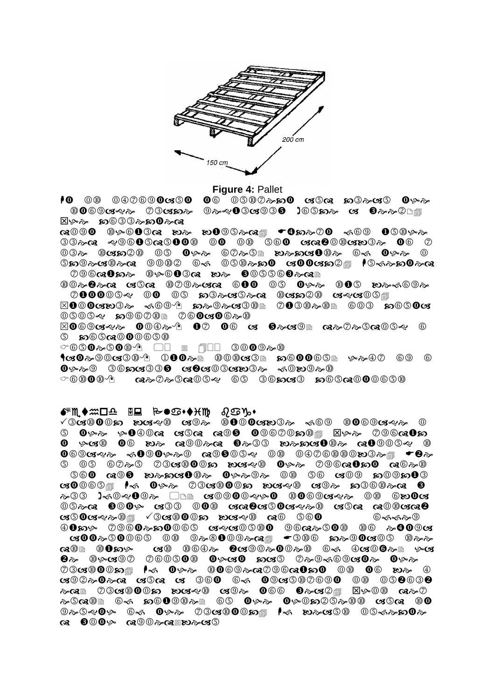

**Figure 4:** Pallet

  $0000$  were  $00$  when  $0$  explored  $0$   $0$   $\ldots$   $0$   $\ldots$   $0$   $\ldots$ ⊠ຯ� ෨©©®�෨®��

 3320 296050000 00 00 00 000 000 000 000 0  $0.03$ 2  $\sim$  0035020 00 0.02  $\sim$  0.020  $\sim$  0.25003002 0.4 0.022 0  $\mathbb{G}$ றைஃcs@ஃ $\alpha$  0000 0ஃ 000ஃற0 cs00cs p0a  $\mathsf{G}$ ெஃற0ஃ $\alpha$ 000x0m~ 0%000x w~ 000000~xB

 $00$ 22x0  $\alpha$  cor  $000$ 20x0  $00$   $00$   $0$   $0$   $\alpha$ 0000004 00 00 GO2030203 005D00 0340505

 00004 00000 000000000

**X0000xe& 000&1 00 00 x 6&x9m a&0&0a00e 0 5 ต00a000600** 

**COOO&OOOA OI E AND 3000&0** 

1~00~90~0000^ 000~™ 000~0™ ~©0006\$™ ~~07 69 6  $0$ %%® 30mcs330 cs0cs03cst03% <0t09%®

### 

 $\sqrt{3}$ cs000m wcse0 cs0a 0000csw3a <60 0000csea 0  $\textcircled{\tiny{9}}$  0%% %000x cs $\textcircled{\tiny{1}}$  aO0 00000m0@  $\textcircled{\tiny{1}}$  x%% 000x0m  $\bm{0}$  , we see the compact  $\bm{0}$  and  $\bm{0}$  and  $\bm{0}$  and  $\bm{0}$  and  $\bm{0}$  and  $\bm{0}$  and  $\bm{0}$ 0000342 6000920 Q00004 00 000000002022 +02 **c30**000@ l← 0ຯ~ 03c3000ත හc3~0 c30~ න300ჯდ 6 ๛ฃฃ )๑๎๎๎๎**಄**෫0ฃ๛ ©๒๒ ๘ฃฃ**๐**ฃ๛๛๏ ฃ๐๛ฃ๘๛๛ ฃฃ ๛ฃ๐๘ **GOO200000 00 0200002GF +300 m200GOO 022**   $\bullet$  09000 000000 0900 pot 02060000 092 000000000 to 000 0000000000000 00 00 00 00 0 **GOOZOZE GORG GOO GA 00GOOOOO 00 000000**  $\sim$ <br  $\sim$  00000000  $\sim$  000  $\sim$  000  $\sim$  000  $\sim$  000  $\sim$  000  $\sim$  000  $\sim$  000  $\sim$  000  $\sim$  000  $\sim$  000  $\sim$  000  $\sim$  000  $\sim$  000  $\sim$  000  $\sim$  000  $\sim$  000  $\sim$  000  $\sim$  000  $\sim$  000  $\sim$  000  $\sim$  000  $\sim$  000 <u>๛©๙ฃ๒ ©๘ ฅ๏๐๏ฃ๛๒ ๏๏ ๐๛๛ ๐๛๏ฅ๏๏๛ฃ๏ ๘๏๙ ๏๐</u> **Q 800% Q 800% C 8000 M**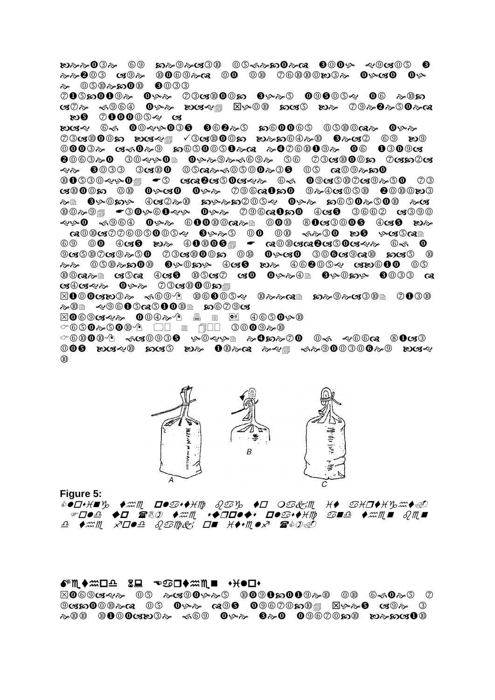$\mathbf{E}$  and  $\mathbf{E}$  and  $\mathbf{E}$  and  $\mathbf{E}$  and  $\mathbf{E}$  and  $\mathbf{E}$  and  $\mathbf{E}$ **∂ამ©3 თ©გ ®0©©გდ ©0 ©® ©©®®©®©გ 0ຯთ0 0ຯ** 2 0002000 0000  $\alpha$ 02 6000 092 ro $\alpha$  1990 ro $\alpha$  ro $\alpha$  ro $\alpha$  002 6202 ro 

 $\mathbf{p}$  and  $\mathbf{p}$  and  $\mathbf{p}$  and  $\mathbf{p}$  and  $\mathbf{p}$  and  $\mathbf{p}$  and  $\mathbf{p}$  and  $\mathbf{p}$  0000a cs40a9 m600000aa a006000a 06 0000cs  $0.0003$ 20  $0.04$ 440  $0.2222$ 2326002 00  $0.00000$ 20  $0.00000$ **42 8000 0000 0002260000206 00 000200** 00000490@ F0 GR8GOG422 06 00G000G9200 00 ๛<u>฿</u> 8%©෨% ⊕α©๛® ෨**%๛**෨©©©**๙ 0**%๛ ෨©©0๛©0® ๛α 0020@ F3020042 022 096a000 000 3000 0090 **๛๛๏ ๛๏๏๏๏ ๏๛๛ ๏๏๏๏๏๛๛๏ ๏๏๏ ๏๏๛๏๏๏๏ ๏๛๏** ๛๛ **©** და მორამართან და მართან და მართან და მართან და მართან და მართან და მართან და მართან და მართან და მართან და მ  $00$   $\alpha$   $\gg$   $\blacksquare$   $\blacksquare$   $\blacksquare$   $\blacksquare$   $\blacksquare$   $\blacksquare$   $\blacksquare$   $\blacksquare$   $\blacksquare$   $\blacksquare$   $\blacksquare$   $\blacksquare$   $\blacksquare$   $\blacksquare$   $\blacksquare$   $\blacksquare$   $\blacksquare$   $\blacksquare$   $\blacksquare$   $\blacksquare$   $\blacksquare$   $\blacksquare$   $\blacksquare$   $\blacksquare$   $\blacksquare$   $\blacksquare$   $\blacksquare$   $\blacksquare$   $\blacksquare$   $\bl$   $\boxtimes$  000 and 3  $\sim$  400  $^\circ$  0000 5  $\sim$  0  $\sim$  0  $\sim$  0  $\sim$  43 0  $\sim$  43 0  $\sim$  00  $\sim$  00  $\sim$  00  $\sim$  00  $\sim$  00  $\sim$  00  $\sim$  00  $\sim$  00  $\sim$  00  $\sim$  00  $\sim$  00  $\sim$  00  $\sim$  00  $\sim$  00  $\sim$  00  $\sim$  00  $\sim$  00  $\sim$  00 **๛ฃ**฿๛ฃ๛๏๏๏๛๛๏๏ฃ๛๛๏๛๛

X00000442 00021 A E E @ 0000040

**COOO&OOO^ OD E FID 3000&0** 

 $\sim$  6000% sustable solves some 00 0s solar 80 usta  $0$ 00 rocs $40$  ros $0$  ro $\alpha$  and  $0$  ros  $0$  ros $\alpha$  ros $\alpha$  $\circledR$ 



#### **Figure 5:**

NOO•HEY ♦*mm DOG•♦Hm QOY ♦D QO&M H♦ GHD♦HYm♦@*  $\sigma \Box \bullet \Delta \bullet \Box \bullet \overbrace{\text{mod} \quad \bullet \text{mod} \quad \bullet \bullet \Box \Box \bullet \bullet \bullet \quad \Box \bullet \text{mod} \land \text{mod} \quad \bullet \text{mod} \quad \bullet \text{mod} \quad \bullet \text{mod} \quad \bullet \text{mod} \quad \bullet \text{mod} \quad \bullet \text{mod} \quad \bullet \text{mod} \quad \bullet \text{mod} \quad \bullet \text{mod} \quad \bullet \text{mod} \quad \bullet \text{mod} \quad \bullet \text{mod} \quad \bullet \text{mod} \quad \bullet \text{mod} \quad \bullet \text{mod} \quad \bullet \text{mod} \quad \bullet \text{mod} \quad$ <u>a</u> ♦*mm xooa 80me, oo xa tood* 

# <sub>◆</sub>\*M◆₩□<del>≏</del> &■ ☜S□◆₩M■ •¥●□•

 $\boxtimes$ 00003422 00 20300920 0000020020 00 04020 0  $0$ und $000$ aa  $00$  Osa  $\alpha$ 00 O $0000$ nda  $\alpha$ sa u $\alpha$  $\sim 0$ 0 00000003 - 00 000 000 0000000 000000